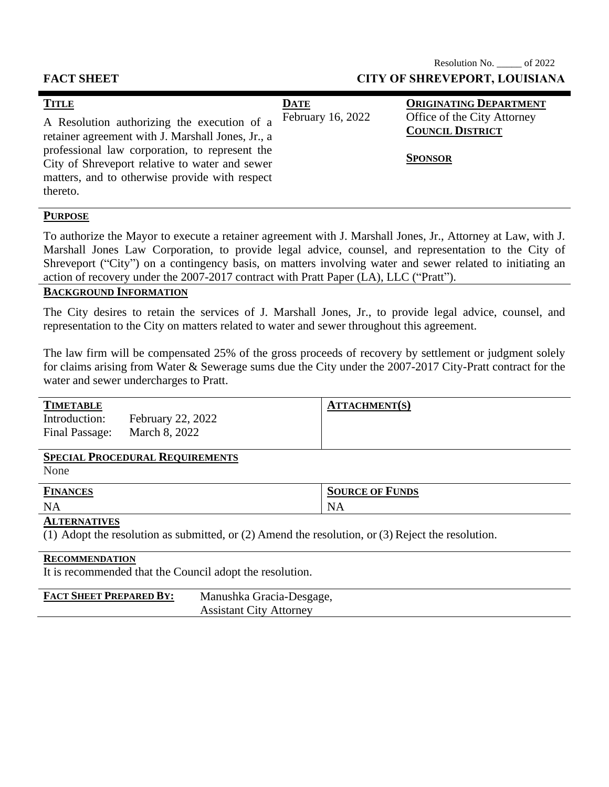## Resolution No. \_\_\_\_\_ of 2022 **FACT SHEET CITY OF SHREVEPORT, LOUISIANA**

|  | <b>TITLE</b><br>A Resolution authorizing the execution of a<br>retainer agreement with J. Marshall Jones, Jr., a<br>professional law corporation, to represent the<br>City of Shreveport relative to water and sewer<br>matters, and to otherwise provide with respect<br>thereto. | <b>DATE</b><br>February 16, 2022 | <b>ORIGINATING DEPARTMENT</b><br>Office of the City Attorney<br><b>COUNCIL DISTRICT</b><br><b>SPONSOR</b> |
|--|------------------------------------------------------------------------------------------------------------------------------------------------------------------------------------------------------------------------------------------------------------------------------------|----------------------------------|-----------------------------------------------------------------------------------------------------------|
|--|------------------------------------------------------------------------------------------------------------------------------------------------------------------------------------------------------------------------------------------------------------------------------------|----------------------------------|-----------------------------------------------------------------------------------------------------------|

# **PURPOSE**

To authorize the Mayor to execute a retainer agreement with J. Marshall Jones, Jr., Attorney at Law, with J. Marshall Jones Law Corporation, to provide legal advice, counsel, and representation to the City of Shreveport ("City") on a contingency basis, on matters involving water and sewer related to initiating an action of recovery under the 2007-2017 contract with Pratt Paper (LA), LLC ("Pratt").

# **BACKGROUND INFORMATION**

The City desires to retain the services of J. Marshall Jones, Jr., to provide legal advice, counsel, and representation to the City on matters related to water and sewer throughout this agreement.

The law firm will be compensated 25% of the gross proceeds of recovery by settlement or judgment solely for claims arising from Water & Sewerage sums due the City under the 2007-2017 City-Pratt contract for the water and sewer undercharges to Pratt.

| <b>TIMETABLE</b> |                                                          | <b>ATTACHMENT(S)</b> |  |
|------------------|----------------------------------------------------------|----------------------|--|
| Introduction:    | <b>February 22, 2022</b><br>Final Passage: March 8, 2022 |                      |  |

### **SPECIAL PROCEDURAL REQUIREMENTS**

None

| <b>FINANCES</b> | <b>SOURCE OF FUNDS</b> |
|-----------------|------------------------|
| <b>NA</b>       | N<br>NА                |

#### **ALTERNATIVES**

(1) Adopt the resolution as submitted, or (2) Amend the resolution, or (3) Reject the resolution.

#### **RECOMMENDATION**

It is recommended that the Council adopt the resolution.

| <b>FACT SHEET PREPARED BY:</b> | Manushka Gracia-Desgage,       |
|--------------------------------|--------------------------------|
|                                | <b>Assistant City Attorney</b> |